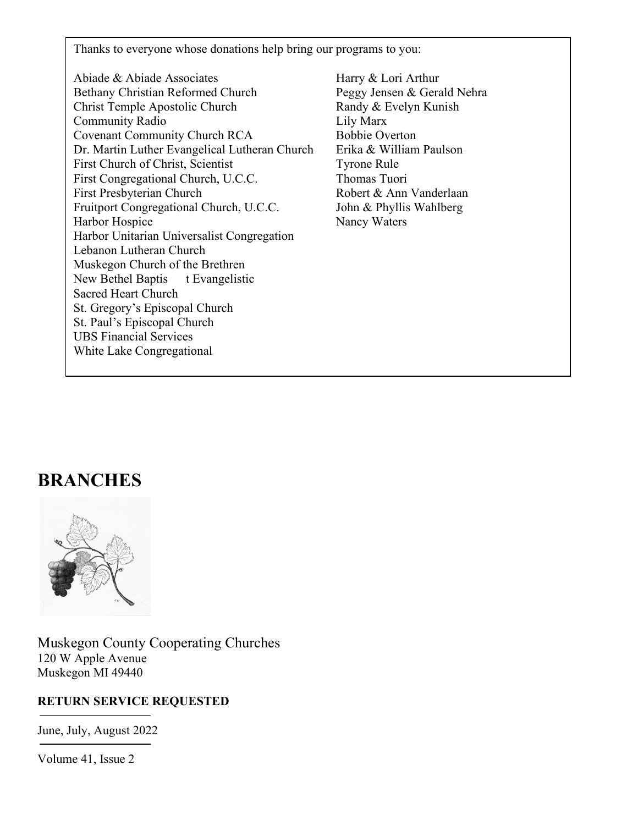Thanks to everyone whose donations help bring our programs to you:

- Abiade & Abiade Associates Harry & Lori Arthur Bethany Christian Reformed Church Peggy Jensen & Gerald Nehra Christ Temple Apostolic Church Randy & Evelyn Kunish Community Radio Lily Marx Covenant Community Church RCA Bobbie Overton Dr. Martin Luther Evangelical Lutheran Church Erika & William Paulson First Church of Christ, Scientist Tyrone Rule First Congregational Church, U.C.C. Thomas Tuori First Presbyterian Church Robert & Ann Vanderlaan Fruitport Congregational Church, U.C.C. John & Phyllis Wahlberg Harbor Hospice Nancy Waters Harbor Unitarian Universalist Congregation Lebanon Lutheran Church Muskegon Church of the Brethren New Bethel Baptis t Evangelistic Sacred Heart Church St. Gregory's Episcopal Church St. Paul's Episcopal Church UBS Financial Services White Lake Congregational
	-

# **BRANCHES**



Muskegon County Cooperating Churches 120 W Apple Avenue Muskegon MI 49440

#### **RETURN SERVICE REQUESTED**

June, July, August 2022

Volume 41, Issue 2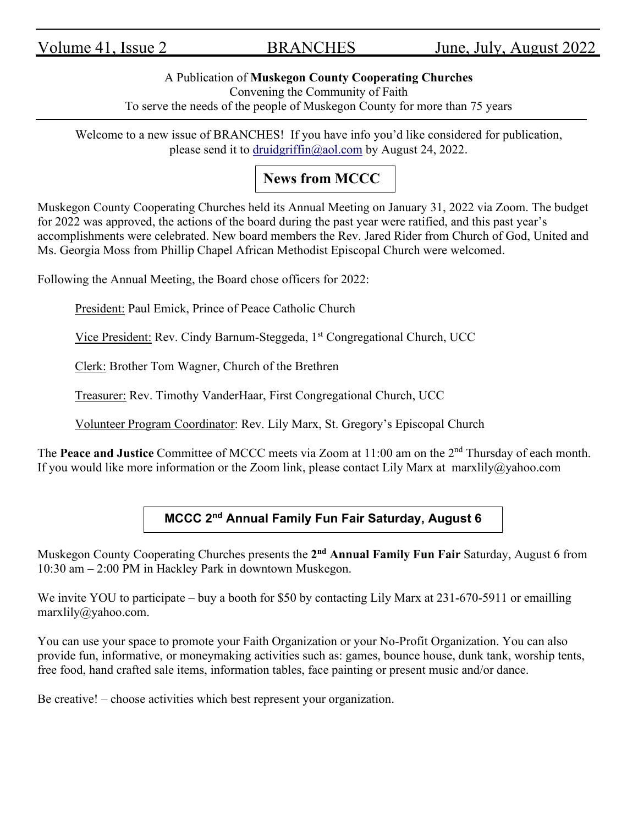#### A Publication of **Muskegon County Cooperating Churches**

Convening the Community of Faith

To serve the needs of the people of Muskegon County for more than 75 years

Welcome to a new issue of BRANCHES! If you have info you'd like considered for publication, please send it to [druidgriffin@aol.com](mailto:druidgriffin@aol.com) by August 24, 2022.

# **News from MCCC**

Muskegon County Cooperating Churches held its Annual Meeting on January 31, 2022 via Zoom. The budget for 2022 was approved, the actions of the board during the past year were ratified, and this past year's accomplishments were celebrated. New board members the Rev. Jared Rider from Church of God, United and Ms. Georgia Moss from Phillip Chapel African Methodist Episcopal Church were welcomed.

Following the Annual Meeting, the Board chose officers for 2022:

President: Paul Emick, Prince of Peace Catholic Church

Vice President: Rev. Cindy Barnum-Steggeda, 1<sup>st</sup> Congregational Church, UCC

Clerk: Brother Tom Wagner, Church of the Brethren

Treasurer: Rev. Timothy VanderHaar, First Congregational Church, UCC

Volunteer Program Coordinator: Rev. Lily Marx, St. Gregory's Episcopal Church

The **Peace and Justice** Committee of MCCC meets via Zoom at 11:00 am on the 2<sup>nd</sup> Thursday of each month. If you would like more information or the Zoom link, please contact Lily Marx at marxlily@yahoo.com

## **MCCC 2nd Annual Family Fun Fair Saturday, August 6**

Muskegon County Cooperating Churches presents the **2nd Annual Family Fun Fair** Saturday, August 6 from 10:30 am – 2:00 PM in Hackley Park in downtown Muskegon.

We invite YOU to participate – buy a booth for \$50 by contacting Lily Marx at 231-670-5911 or emailling marxlily@yahoo.com.

You can use your space to promote your Faith Organization or your No-Profit Organization. You can also provide fun, informative, or moneymaking activities such as: games, bounce house, dunk tank, worship tents, free food, hand crafted sale items, information tables, face painting or present music and/or dance.

Be creative! – choose activities which best represent your organization.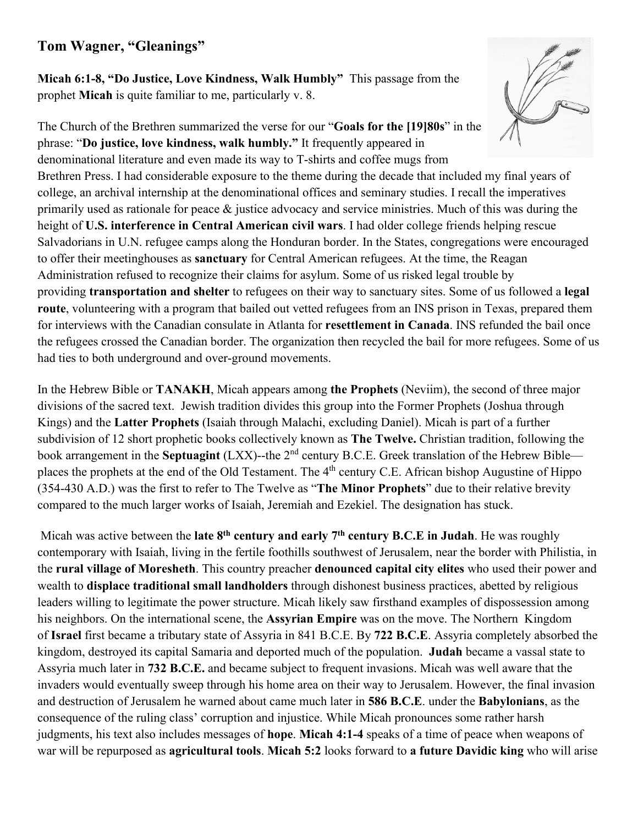#### **Tom Wagner, "Gleanings"**

**Micah 6:1-8, "Do Justice, Love Kindness, Walk Humbly"** This passage from the prophet **Micah** is quite familiar to me, particularly v. 8.

The Church of the Brethren summarized the verse for our "**Goals for the [19]80s**" in the phrase: "**Do justice, love kindness, walk humbly."** It frequently appeared in



denominational literature and even made its way to T-shirts and coffee mugs from Brethren Press. I had considerable exposure to the theme during the decade that included my final years of college, an archival internship at the denominational offices and seminary studies. I recall the imperatives primarily used as rationale for peace & justice advocacy and service ministries. Much of this was during the height of **U.S. interference in Central American civil wars**. I had older college friends helping rescue Salvadorians in U.N. refugee camps along the Honduran border. In the States, congregations were encouraged to offer their meetinghouses as **sanctuary** for Central American refugees. At the time, the Reagan Administration refused to recognize their claims for asylum. Some of us risked legal trouble by providing **transportation and shelter** to refugees on their way to sanctuary sites. Some of us followed a **legal route**, volunteering with a program that bailed out vetted refugees from an INS prison in Texas, prepared them for interviews with the Canadian consulate in Atlanta for **resettlement in Canada**. INS refunded the bail once the refugees crossed the Canadian border. The organization then recycled the bail for more refugees. Some of us had ties to both underground and over-ground movements.

In the Hebrew Bible or **TANAKH**, Micah appears among **the Prophets** (Neviim), the second of three major divisions of the sacred text. Jewish tradition divides this group into the Former Prophets (Joshua through Kings) and the **Latter Prophets** (Isaiah through Malachi, excluding Daniel). Micah is part of a further subdivision of 12 short prophetic books collectively known as **The Twelve.** Christian tradition, following the book arrangement in the **Septuagint** (LXX)--the 2nd century B.C.E. Greek translation of the Hebrew Bible places the prophets at the end of the Old Testament. The 4<sup>th</sup> century C.E. African bishop Augustine of Hippo (354-430 A.D.) was the first to refer to The Twelve as "**The Minor Prophets**" due to their relative brevity compared to the much larger works of Isaiah, Jeremiah and Ezekiel. The designation has stuck.

Micah was active between the **late 8th century and early 7th century B.C.E in Judah**. He was roughly contemporary with Isaiah, living in the fertile foothills southwest of Jerusalem, near the border with Philistia, in the **rural village of Moresheth**. This country preacher **denounced capital city elites** who used their power and wealth to **displace traditional small landholders** through dishonest business practices, abetted by religious leaders willing to legitimate the power structure. Micah likely saw firsthand examples of dispossession among his neighbors. On the international scene, the **Assyrian Empire** was on the move. The Northern Kingdom of **Israel** first became a tributary state of Assyria in 841 B.C.E. By **722 B.C.E**. Assyria completely absorbed the kingdom, destroyed its capital Samaria and deported much of the population. **Judah** became a vassal state to Assyria much later in **732 B.C.E.** and became subject to frequent invasions. Micah was well aware that the invaders would eventually sweep through his home area on their way to Jerusalem. However, the final invasion and destruction of Jerusalem he warned about came much later in **586 B.C.E**. under the **Babylonians**, as the consequence of the ruling class' corruption and injustice. While Micah pronounces some rather harsh judgments, his text also includes messages of **hope**. **Micah 4:1-4** speaks of a time of peace when weapons of war will be repurposed as **agricultural tools**. **Micah 5:2** looks forward to **a future Davidic king** who will arise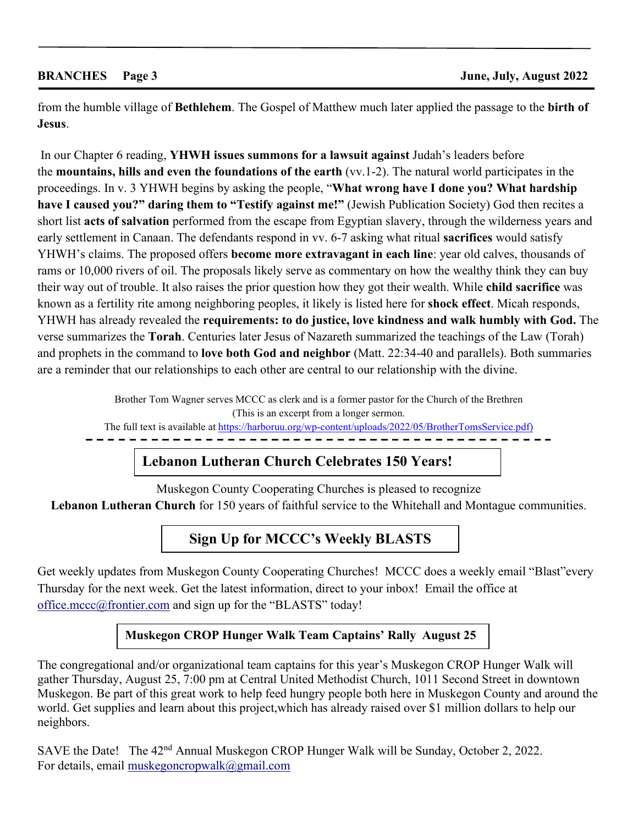from the humble village of **Bethlehem**. The Gospel of Matthew much later applied the passage to the **birth of Jesus**.

 In our Chapter 6 reading, **YHWH issues summons for a lawsuit against** Judah's leaders before the **mountains, hills and even the foundations of the earth** (vv.1-2). The natural world participates in the proceedings. In v. 3 YHWH begins by asking the people, "**What wrong have I done you? What hardship have I caused you?" daring them to "Testify against me!"** (Jewish Publication Society) God then recites a short list **acts of salvation** performed from the escape from Egyptian slavery, through the wilderness years and early settlement in Canaan. The defendants respond in vv. 6-7 asking what ritual **sacrifices** would satisfy YHWH's claims. The proposed offers **become more extravagant in each line**: year old calves, thousands of rams or 10,000 rivers of oil. The proposals likely serve as commentary on how the wealthy think they can buy their way out of trouble. It also raises the prior question how they got their wealth. While **child sacrifice** was known as a fertility rite among neighboring peoples, it likely is listed here for **shock effect**. Micah responds, YHWH has already revealed the **requirements: to do justice, love kindness and walk humbly with God.** The verse summarizes the **Torah**. Centuries later Jesus of Nazareth summarized the teachings of the Law (Torah) and prophets in the command to **love both God and neighbor** (Matt. 22:34-40 and parallels). Both summaries are a reminder that our relationships to each other are central to our relationship with the divine.

> Brother Tom Wagner serves MCCC as clerk and is a former pastor for the Church of the Brethren (This is an excerpt from a longer sermon.

The full text is available at  $\frac{h(t) s}{h(t) s(t)}$  harboruu.org/wp-content/uploads/2022/05/BrotherTomsService.pdf)

**Lebanon Lutheran Church Celebrates 150 Years!**

Muskegon County Cooperating Churches is pleased to recognize **Lebanon Lutheran Church** for 150 years of faithful service to the Whitehall and Montague communities.

## **Sign Up for MCCC's Weekly BLASTS**

Get weekly updates from Muskegon County Cooperating Churches! MCCC does a weekly email "Blast"every Thursday for the next week. Get the latest information, direct to your inbox! Email the office at [office.mccc@frontier.com](mailto:office.mccc@frontier.com) and sign up for the "BLASTS" today!

#### **Muskegon CROP Hunger Walk Team Captains' Rally August 25**

The congregational and/or organizational team captains for this year's Muskegon CROP Hunger Walk will gather Thursday, August 25, 7:00 pm at Central United Methodist Church, 1011 Second Street in downtown Muskegon. Be part of this great work to help feed hungry people both here in Muskegon County and around the world. Get supplies and learn about this project, which has already raised over \$1 million dollars to help our neighbors.

SAVE the Date! The 42<sup>nd</sup> Annual Muskegon CROP Hunger Walk will be Sunday, October 2, 2022. For details, email [muskegoncropwalk@gmail.com](mailto:muskegoncropwalk@gmail.com)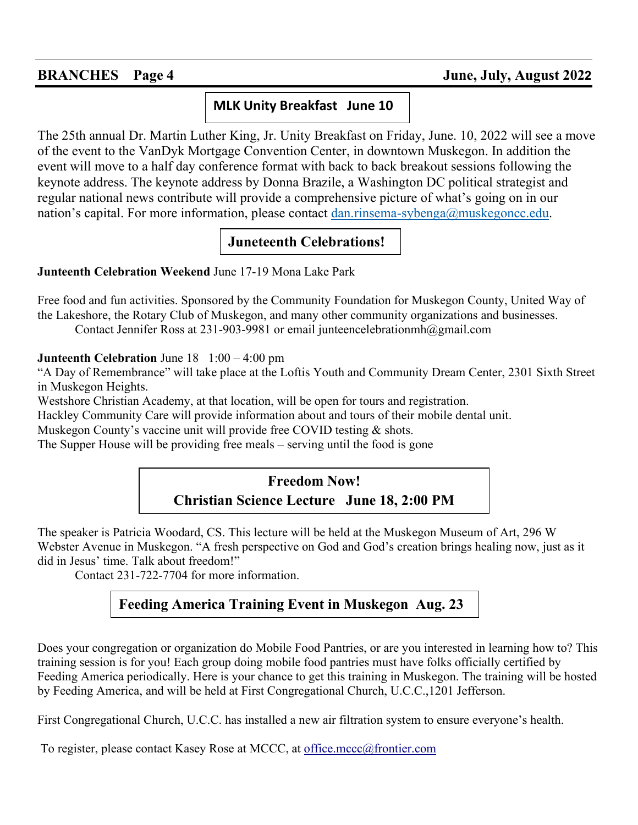## **MLK Unity Breakfast June 10**

The 25th annual Dr. Martin Luther King, Jr. Unity Breakfast on Friday, June. 10, 2022 will see a move of the event to the VanDyk Mortgage Convention Center, in downtown Muskegon. In addition the event will move to a half day conference format with back to back breakout sessions following the keynote address. The keynote address by Donna Brazile, a Washington DC political strategist and regular national news contribute will provide a comprehensive picture of what's going on in our nation's capital. For more information, please contact [dan.rinsema-sybenga@muskegoncc.edu.](mailto:dan.rinsema-sybenga@muskegoncc.edu)

## **Juneteenth Celebrations!**

**Junteenth Celebration Weekend** June 17-19 Mona Lake Park

Free food and fun activities. Sponsored by the Community Foundation for Muskegon County, United Way of the Lakeshore, the Rotary Club of Muskegon, and many other community organizations and businesses. Contact Jennifer Ross at 231-903-9981 or email junteencelebrationmh@gmail.com

**Junteenth Celebration** June 18 1:00 – 4:00 pm

"A Day of Remembrance" will take place at the Loftis Youth and Community Dream Center, 2301 Sixth Street in Muskegon Heights.

Westshore Christian Academy, at that location, will be open for tours and registration.

Hackley Community Care will provide information about and tours of their mobile dental unit.

Muskegon County's vaccine unit will provide free COVID testing & shots.

The Supper House will be providing free meals – serving until the food is gone

## **Freedom Now! Christian Science Lecture June 18, 2:00 PM**

The speaker is Patricia Woodard, CS. This lecture will be held at the Muskegon Museum of Art, 296 W Webster Avenue in Muskegon. "A fresh perspective on God and God's creation brings healing now, just as it did in Jesus' time. Talk about freedom!"

Contact 231-722-7704 for more information.

# **Feeding America Training Event in Muskegon Aug. 23**

Does your congregation or organization do Mobile Food Pantries, or are you interested in learning how to? This training session is for you! Each group doing mobile food pantries must have folks officially certified by Feeding America periodically. Here is your chance to get this training in Muskegon. The training will be hosted by Feeding America, and will be held at First Congregational Church, U.C.C.,1201 Jefferson.

First Congregational Church, U.C.C. has installed a new air filtration system to ensure everyone's health.

To register, please contact Kasey Rose at MCCC, at office.mccc@frontier.com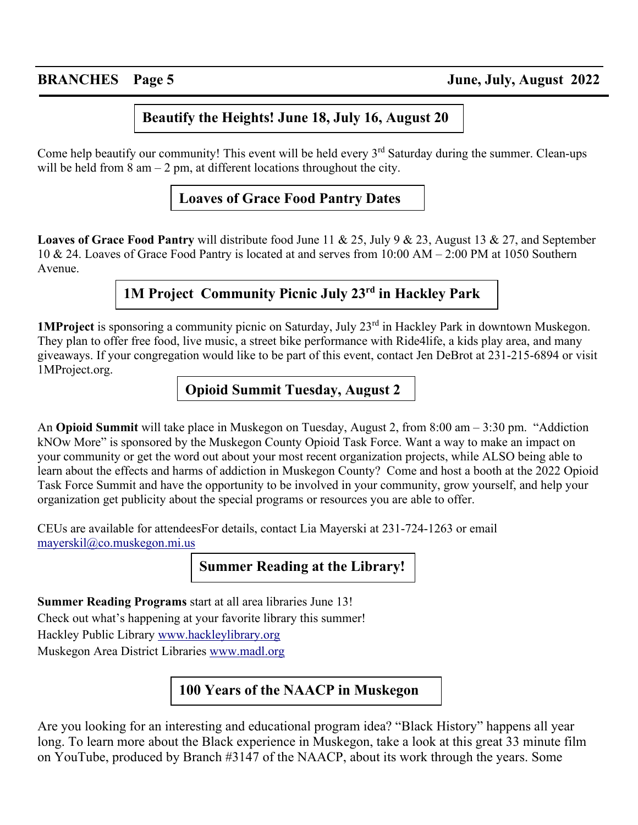### **Beautify the Heights! June 18, July 16, August 20**

Come help beautify our community! This event will be held every  $3<sup>rd</sup>$  Saturday during the summer. Clean-ups will be held from  $8 \text{ am} - 2 \text{ pm}$ , at different locations throughout the city.

### **Loaves of Grace Food Pantry Dates**

**Loaves of Grace Food Pantry** will distribute food June 11 & 25, July 9 & 23, August 13 & 27, and September 10 & 24. Loaves of Grace Food Pantry is located at and serves from 10:00 AM – 2:00 PM at 1050 Southern Avenue.

## **1M Project Community Picnic July 23rd in Hackley Park**

**1MProject** is sponsoring a community picnic on Saturday, July 23<sup>rd</sup> in Hackley Park in downtown Muskegon. They plan to offer free food, live music, a street bike performance with Ride4life, a kids play area, and many giveaways. If your congregation would like to be part of this event, contact Jen DeBrot at 231-215-6894 or visit 1MProject.org.

### **Opioid Summit Tuesday, August 2**

An **Opioid Summit** will take place in Muskegon on Tuesday, August 2, from 8:00 am – 3:30 pm. "Addiction kNOw More" is sponsored by the Muskegon County Opioid Task Force. Want a way to make an impact on your community or get the word out about your most recent organization projects, while ALSO being able to learn about the effects and harms of addiction in Muskegon County? Come and host a booth at the 2022 Opioid Task Force Summit and have the opportunity to be involved in your community, grow yourself, and help your organization get publicity about the special programs or resources you are able to offer.

CEUs are available for attendeesFor details, contact Lia Mayerski at 231-724-1263 or email [mayerskil@co.muskegon.mi.us](mailto:mayerskil@co.muskegon.mi.us) 

### **Summer Reading at the Library!**

**Summer Reading Programs** start at all area libraries June 13! Check out what's happening at your favorite library this summer! Hackley Public Library [www.hackleylibrary.org](http://www.hackleylibrary.org/) Muskegon Area District Libraries [www.madl.org](http://www.madl.org/) 

# **100 Years of the NAACP in Muskegon**

Are you looking for an interesting and educational program idea? "Black History" happens all year long. To learn more about the Black experience in Muskegon, take a look at this great 33 minute film on YouTube, produced by Branch #3147 of the NAACP, about its work through the years. Some